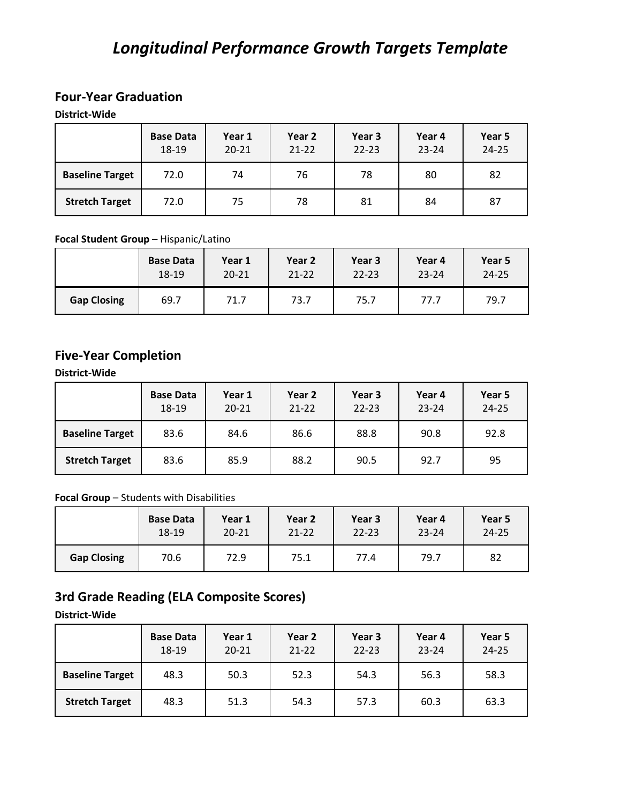# *Longitudinal Performance Growth Targets Template*

## **Four-Year Graduation**

### **District-Wide**

|                        | <b>Base Data</b><br>$18 - 19$ | Year 1<br>$20 - 21$ | Year 2<br>$21 - 22$ | Year 3<br>$22 - 23$ | Year 4<br>$23 - 24$ | Year 5<br>24-25 |
|------------------------|-------------------------------|---------------------|---------------------|---------------------|---------------------|-----------------|
| <b>Baseline Target</b> | 72.0                          | 74                  | 76                  | 78                  | 80                  | 82              |
| <b>Stretch Target</b>  | 72.0                          | 75                  | 78                  | 81                  | 84                  | 87              |

#### **Focal Student Group** – Hispanic/Latino

|                    | <b>Base Data</b> | Year 1    | Year 2    | Year 3    | Year 4    | Year 5    |
|--------------------|------------------|-----------|-----------|-----------|-----------|-----------|
|                    | 18-19            | $20 - 21$ | $21 - 22$ | $22 - 23$ | $23 - 24$ | $24 - 25$ |
| <b>Gap Closing</b> | 69.7             | 71.7      | 73.7      | 75.7      | 77.7      | 79.7      |

## **Five-Year Completion**

**District-Wide**

|                        | <b>Base Data</b><br>$18 - 19$ | Year 1<br>$20 - 21$ | Year 2<br>$21 - 22$ | Year 3<br>$22 - 23$ | Year 4<br>$23 - 24$ | Year 5<br>$24 - 25$ |
|------------------------|-------------------------------|---------------------|---------------------|---------------------|---------------------|---------------------|
| <b>Baseline Target</b> | 83.6                          | 84.6                | 86.6                | 88.8                | 90.8                | 92.8                |
| <b>Stretch Target</b>  | 83.6                          | 85.9                | 88.2                | 90.5                | 92.7                | 95                  |

### **Focal Group** – Students with Disabilities

|                    | <b>Base Data</b> | Year 1    | Year 2    | Year 3    | Year 4    | Year 5    |
|--------------------|------------------|-----------|-----------|-----------|-----------|-----------|
|                    | 18-19            | $20 - 21$ | $21 - 22$ | $22 - 23$ | $23 - 24$ | $24 - 25$ |
| <b>Gap Closing</b> | 70.6             | 72.9      | 75.1      | 77.4      | 79.7      | 82        |

# **3rd Grade Reading (ELA Composite Scores)**

**District-Wide**

|                        | <b>Base Data</b><br>18-19 | Year 1<br>$20 - 21$ | Year 2<br>$21 - 22$ | Year 3<br>$22 - 23$ | Year 4<br>$23 - 24$ | Year 5<br>24-25 |
|------------------------|---------------------------|---------------------|---------------------|---------------------|---------------------|-----------------|
| <b>Baseline Target</b> | 48.3                      | 50.3                | 52.3                | 54.3                | 56.3                | 58.3            |
| <b>Stretch Target</b>  | 48.3                      | 51.3                | 54.3                | 57.3                | 60.3                | 63.3            |